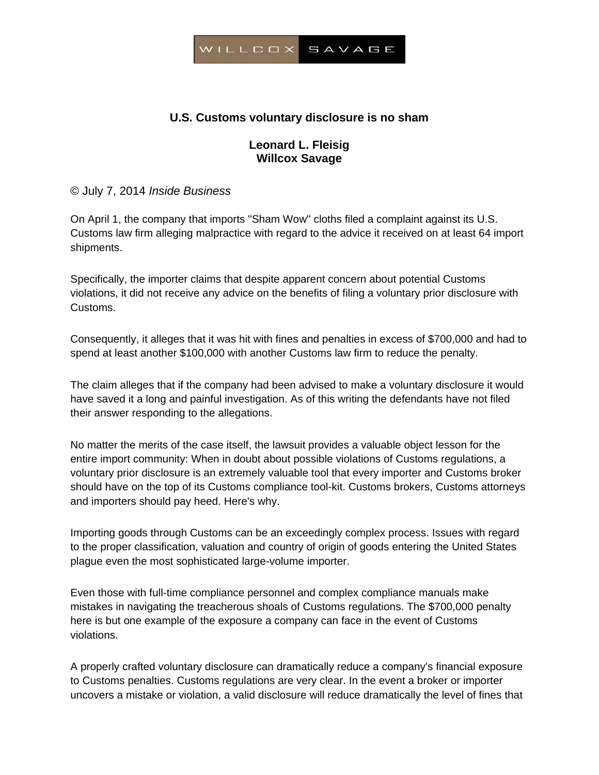

# **U.S. Customs voluntary disclosure is no sham**

## **Leonard L. Fleisig Willcox Savage**

© July 7, 2014 *Inside Business* 

On April 1, the company that imports "Sham Wow" cloths filed a complaint against its U.S. Customs law firm alleging malpractice with regard to the advice it received on at least 64 import shipments.

Specifically, the importer claims that despite apparent concern about potential Customs violations, it did not receive any advice on the benefits of filing a voluntary prior disclosure with Customs.

Consequently, it alleges that it was hit with fines and penalties in excess of \$700,000 and had to spend at least another \$100,000 with another Customs law firm to reduce the penalty.

The claim alleges that if the company had been advised to make a voluntary disclosure it would have saved it a long and painful investigation. As of this writing the defendants have not filed their answer responding to the allegations.

No matter the merits of the case itself, the lawsuit provides a valuable object lesson for the entire import community: When in doubt about possible violations of Customs regulations, a voluntary prior disclosure is an extremely valuable tool that every importer and Customs broker should have on the top of its Customs compliance tool-kit. Customs brokers, Customs attorneys and importers should pay heed. Here's why.

Importing goods through Customs can be an exceedingly complex process. Issues with regard to the proper classification, valuation and country of origin of goods entering the United States plague even the most sophisticated large-volume importer.

Even those with full-time compliance personnel and complex compliance manuals make mistakes in navigating the treacherous shoals of Customs regulations. The \$700,000 penalty here is but one example of the exposure a company can face in the event of Customs violations.

A properly crafted voluntary disclosure can dramatically reduce a company's financial exposure to Customs penalties. Customs regulations are very clear. In the event a broker or importer uncovers a mistake or violation, a valid disclosure will reduce dramatically the level of fines that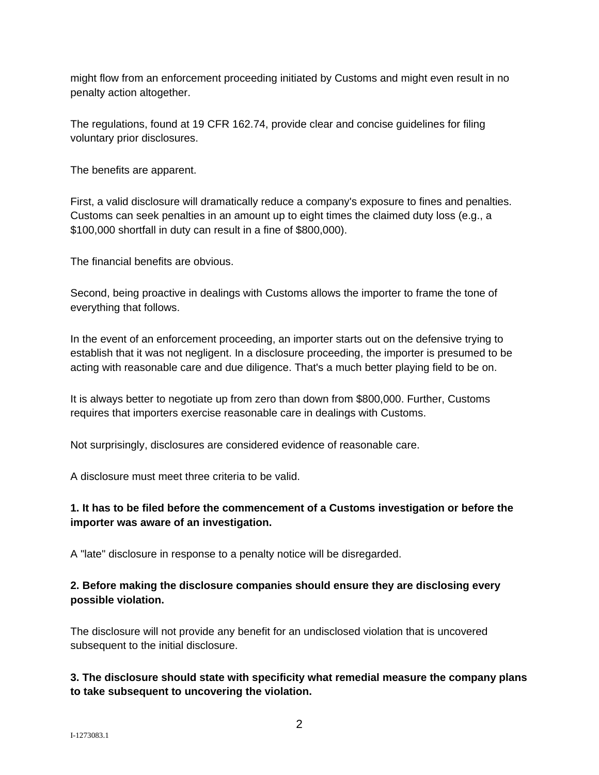might flow from an enforcement proceeding initiated by Customs and might even result in no penalty action altogether.

The regulations, found at 19 CFR 162.74, provide clear and concise guidelines for filing voluntary prior disclosures.

The benefits are apparent.

First, a valid disclosure will dramatically reduce a company's exposure to fines and penalties. Customs can seek penalties in an amount up to eight times the claimed duty loss (e.g., a \$100,000 shortfall in duty can result in a fine of \$800,000).

The financial benefits are obvious.

Second, being proactive in dealings with Customs allows the importer to frame the tone of everything that follows.

In the event of an enforcement proceeding, an importer starts out on the defensive trying to establish that it was not negligent. In a disclosure proceeding, the importer is presumed to be acting with reasonable care and due diligence. That's a much better playing field to be on.

It is always better to negotiate up from zero than down from \$800,000. Further, Customs requires that importers exercise reasonable care in dealings with Customs.

Not surprisingly, disclosures are considered evidence of reasonable care.

A disclosure must meet three criteria to be valid.

### **1. It has to be filed before the commencement of a Customs investigation or before the importer was aware of an investigation.**

A "late" disclosure in response to a penalty notice will be disregarded.

### **2. Before making the disclosure companies should ensure they are disclosing every possible violation.**

The disclosure will not provide any benefit for an undisclosed violation that is uncovered subsequent to the initial disclosure.

### **3. The disclosure should state with specificity what remedial measure the company plans to take subsequent to uncovering the violation.**